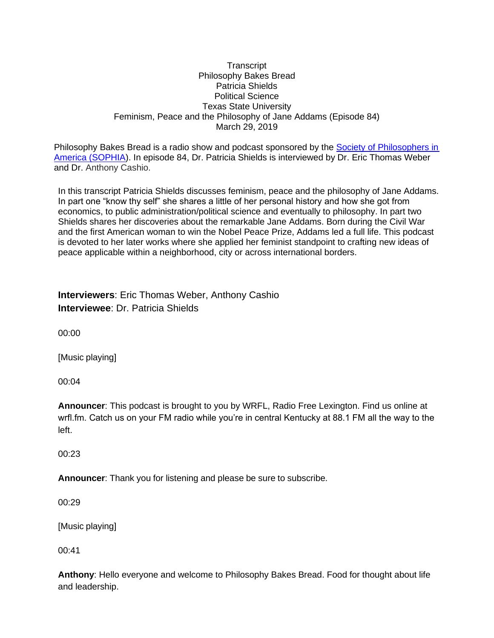#### **Transcript** Philosophy Bakes Bread Patricia Shields Political Science Texas State University Feminism, Peace and the Philosophy of Jane Addams (Episode 84) March 29, 2019

Philosophy Bakes Bread is a radio show and podcast sponsored by the Society of Philosophers in [America \(SOPHIA\)](https://www.philosophersinamerica.com/philosophybakesbread/). In episode 84, Dr. Patricia Shields is interviewed by Dr. Eric Thomas Weber and Dr. Anthony Cashio.

In this transcript Patricia Shields discusses feminism, peace and the philosophy of Jane Addams. In part one "know thy self" she shares a little of her personal history and how she got from economics, to public administration/political science and eventually to philosophy. In part two Shields shares her discoveries about the remarkable Jane Addams. Born during the Civil War and the first American woman to win the Nobel Peace Prize, Addams led a full life. This podcast is devoted to her later works where she applied her feminist standpoint to crafting new ideas of peace applicable within a neighborhood, city or across international borders.

| <b>Interviewers: Eric Thomas Weber, Anthony Cashio</b> |
|--------------------------------------------------------|
| <b>Interviewee: Dr. Patricia Shields</b>               |

00:00

[Music playing]

00:04

**Announcer**: This podcast is brought to you by WRFL, Radio Free Lexington. Find us online at wrfl.fm. Catch us on your FM radio while you're in central Kentucky at 88.1 FM all the way to the left.

 $00.23$ 

**Announcer**: Thank you for listening and please be sure to subscribe.

00:29

[Music playing]

00:41

**Anthony**: Hello everyone and welcome to Philosophy Bakes Bread. Food for thought about life and leadership.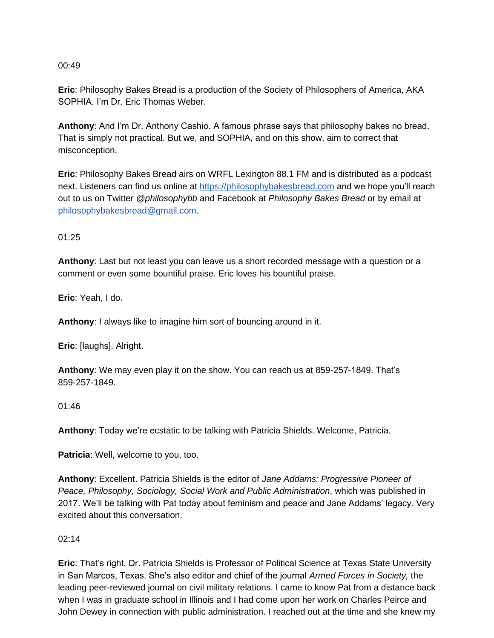**Eric**: Philosophy Bakes Bread is a production of the Society of Philosophers of America, AKA SOPHIA. I'm Dr. Eric Thomas Weber.

**Anthony**: And I'm Dr. Anthony Cashio. A famous phrase says that philosophy bakes no bread. That is simply not practical. But we, and SOPHIA, and on this show, aim to correct that misconception.

**Eric**: Philosophy Bakes Bread airs on WRFL Lexington 88.1 FM and is distributed as a podcast next. Listeners can find us online at https://philosophybakesbread.com and we hope you'll reach out to us on Twitter *@philosophybb* and Facebook at *Philosophy Bakes Bread* or by email at [philosophybakesbread@gmail.com.](mailto:philosophybakesbread@gmail.com)

01:25

**Anthony**: Last but not least you can leave us a short recorded message with a question or a comment or even some bountiful praise. Eric loves his bountiful praise.

**Eric**: Yeah, I do.

**Anthony**: I always like to imagine him sort of bouncing around in it.

**Eric**: [laughs]. Alright.

**Anthony**: We may even play it on the show. You can reach us at 859-257-1849. That's 859-257-1849.

01:46

**Anthony**: Today we're ecstatic to be talking with Patricia Shields. Welcome, Patricia.

**Patricia**: Well, welcome to you, too.

**Anthony**: Excellent. Patricia Shields is the editor of *Jane Addams: Progressive Pioneer of Peace, Philosophy, Sociology, Social Work and Public Administration*, which was published in 2017. We'll be talking with Pat today about feminism and peace and Jane Addams' legacy. Very excited about this conversation.

02:14

**Eric**: That's right. Dr. Patricia Shields is Professor of Political Science at Texas State University in San Marcos, Texas. She's also editor and chief of the journal *Armed Forces in Society,* the leading peer-reviewed journal on civil military relations. I came to know Pat from a distance back when I was in graduate school in Illinois and I had come upon her work on Charles Peirce and John Dewey in connection with public administration. I reached out at the time and she knew my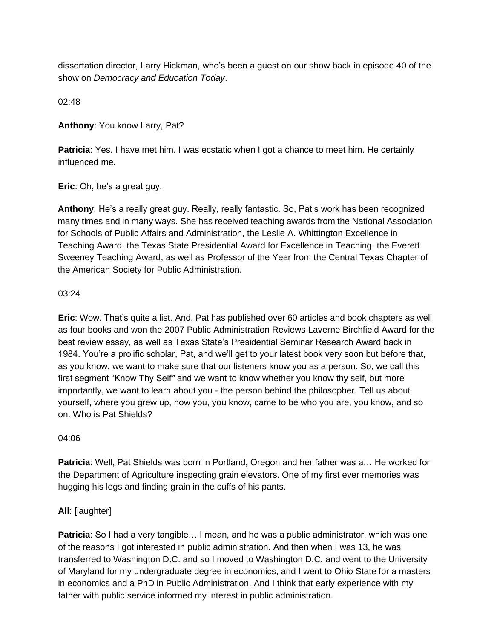dissertation director, Larry Hickman, who's been a guest on our show back in episode 40 of the show on *Democracy and Education Today*.

02:48

**Anthony**: You know Larry, Pat?

**Patricia**: Yes. I have met him. I was ecstatic when I got a chance to meet him. He certainly influenced me.

**Eric**: Oh, he's a great guy.

**Anthony**: He's a really great guy. Really, really fantastic. So, Pat's work has been recognized many times and in many ways. She has received teaching awards from the National Association for Schools of Public Affairs and Administration, the Leslie A. Whittington Excellence in Teaching Award, the Texas State Presidential Award for Excellence in Teaching, the Everett Sweeney Teaching Award, as well as Professor of the Year from the Central Texas Chapter of the American Society for Public Administration.

### 03:24

**Eric**: Wow. That's quite a list. And, Pat has published over 60 articles and book chapters as well as four books and won the 2007 Public Administration Reviews Laverne Birchfield Award for the best review essay, as well as Texas State's Presidential Seminar Research Award back in 1984. You're a prolific scholar, Pat, and we'll get to your latest book very soon but before that, as you know, we want to make sure that our listeners know you as a person. So, we call this first segment "Know Thy Self*"* and we want to know whether you know thy self, but more importantly, we want to learn about you - the person behind the philosopher. Tell us about yourself, where you grew up, how you, you know, came to be who you are, you know, and so on. Who is Pat Shields?

#### 04:06

**Patricia**: Well, Pat Shields was born in Portland, Oregon and her father was a… He worked for the Department of Agriculture inspecting grain elevators. One of my first ever memories was hugging his legs and finding grain in the cuffs of his pants.

### **All**: [laughter]

**Patricia**: So I had a very tangible... I mean, and he was a public administrator, which was one of the reasons I got interested in public administration. And then when I was 13, he was transferred to Washington D.C. and so I moved to Washington D.C. and went to the University of Maryland for my undergraduate degree in economics, and I went to Ohio State for a masters in economics and a PhD in Public Administration. And I think that early experience with my father with public service informed my interest in public administration.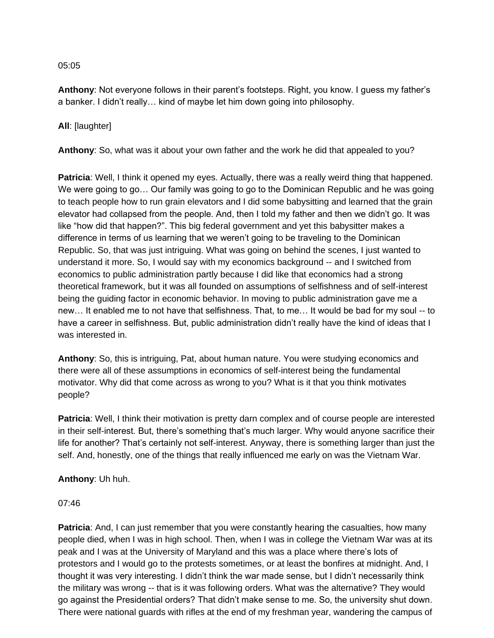**Anthony**: Not everyone follows in their parent's footsteps. Right, you know. I guess my father's a banker. I didn't really… kind of maybe let him down going into philosophy.

## **All**: [laughter]

**Anthony**: So, what was it about your own father and the work he did that appealed to you?

**Patricia**: Well, I think it opened my eyes. Actually, there was a really weird thing that happened. We were going to go… Our family was going to go to the Dominican Republic and he was going to teach people how to run grain elevators and I did some babysitting and learned that the grain elevator had collapsed from the people. And, then I told my father and then we didn't go. It was like "how did that happen?". This big federal government and yet this babysitter makes a difference in terms of us learning that we weren't going to be traveling to the Dominican Republic. So, that was just intriguing. What was going on behind the scenes, I just wanted to understand it more. So, I would say with my economics background -- and I switched from economics to public administration partly because I did like that economics had a strong theoretical framework, but it was all founded on assumptions of selfishness and of self-interest being the guiding factor in economic behavior. In moving to public administration gave me a new… It enabled me to not have that selfishness. That, to me… It would be bad for my soul -- to have a career in selfishness. But, public administration didn't really have the kind of ideas that I was interested in.

**Anthony**: So, this is intriguing, Pat, about human nature. You were studying economics and there were all of these assumptions in economics of self-interest being the fundamental motivator. Why did that come across as wrong to you? What is it that you think motivates people?

**Patricia**: Well, I think their motivation is pretty darn complex and of course people are interested in their self-interest. But, there's something that's much larger. Why would anyone sacrifice their life for another? That's certainly not self-interest. Anyway, there is something larger than just the self. And, honestly, one of the things that really influenced me early on was the Vietnam War.

### **Anthony**: Uh huh.

### 07:46

**Patricia**: And, I can just remember that you were constantly hearing the casualties, how many people died, when I was in high school. Then, when I was in college the Vietnam War was at its peak and I was at the University of Maryland and this was a place where there's lots of protestors and I would go to the protests sometimes, or at least the bonfires at midnight. And, I thought it was very interesting. I didn't think the war made sense, but I didn't necessarily think the military was wrong -- that is it was following orders. What was the alternative? They would go against the Presidential orders? That didn't make sense to me. So, the university shut down. There were national guards with rifles at the end of my freshman year, wandering the campus of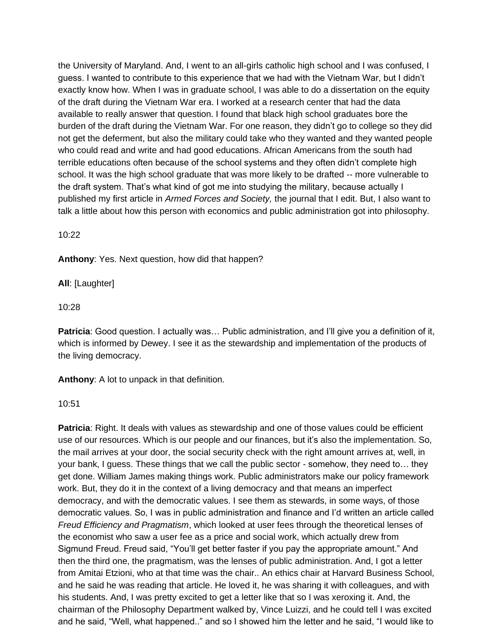the University of Maryland. And, I went to an all-girls catholic high school and I was confused, I guess. I wanted to contribute to this experience that we had with the Vietnam War, but I didn't exactly know how. When I was in graduate school, I was able to do a dissertation on the equity of the draft during the Vietnam War era. I worked at a research center that had the data available to really answer that question. I found that black high school graduates bore the burden of the draft during the Vietnam War. For one reason, they didn't go to college so they did not get the deferment, but also the military could take who they wanted and they wanted people who could read and write and had good educations. African Americans from the south had terrible educations often because of the school systems and they often didn't complete high school. It was the high school graduate that was more likely to be drafted -- more vulnerable to the draft system. That's what kind of got me into studying the military, because actually I published my first article in *Armed Forces and Society,* the journal that I edit. But, I also want to talk a little about how this person with economics and public administration got into philosophy.

10:22

**Anthony**: Yes. Next question, how did that happen?

**All**: [Laughter]

10:28

Patricia: Good question. I actually was... Public administration, and I'll give you a definition of it, which is informed by Dewey. I see it as the stewardship and implementation of the products of the living democracy.

**Anthony**: A lot to unpack in that definition.

10:51

**Patricia**: Right. It deals with values as stewardship and one of those values could be efficient use of our resources. Which is our people and our finances, but it's also the implementation. So, the mail arrives at your door, the social security check with the right amount arrives at, well, in your bank, I guess. These things that we call the public sector - somehow, they need to… they get done. William James making things work. Public administrators make our policy framework work. But, they do it in the context of a living democracy and that means an imperfect democracy, and with the democratic values. I see them as stewards, in some ways, of those democratic values. So, I was in public administration and finance and I'd written an article called *Freud Efficiency and Pragmatism*, which looked at user fees through the theoretical lenses of the economist who saw a user fee as a price and social work, which actually drew from Sigmund Freud. Freud said, "You'll get better faster if you pay the appropriate amount." And then the third one, the pragmatism, was the lenses of public administration. And, I got a letter from Amitai Etzioni, who at that time was the chair.. An ethics chair at Harvard Business School, and he said he was reading that article. He loved it, he was sharing it with colleagues, and with his students. And, I was pretty excited to get a letter like that so I was xeroxing it. And, the chairman of the Philosophy Department walked by, Vince Luizzi, and he could tell I was excited and he said, "Well, what happened.." and so I showed him the letter and he said, "I would like to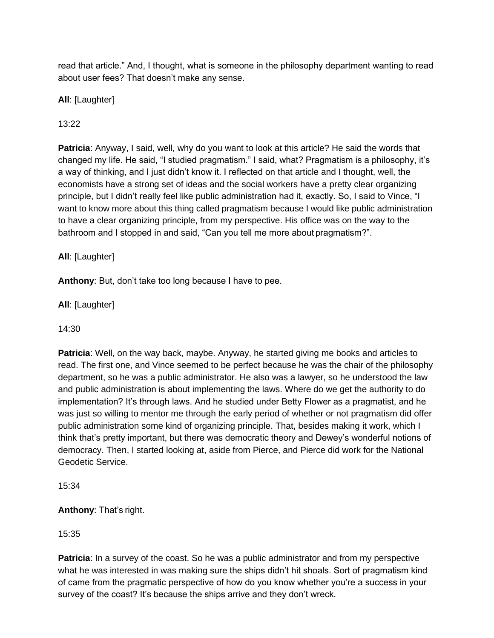read that article." And, I thought, what is someone in the philosophy department wanting to read about user fees? That doesn't make any sense.

**All**: [Laughter]

13:22

**Patricia**: Anyway, I said, well, why do you want to look at this article? He said the words that changed my life. He said, "I studied pragmatism." I said, what? Pragmatism is a philosophy, it's a way of thinking, and I just didn't know it. I reflected on that article and I thought, well, the economists have a strong set of ideas and the social workers have a pretty clear organizing principle, but I didn't really feel like public administration had it, exactly. So, I said to Vince, "I want to know more about this thing called pragmatism because I would like public administration to have a clear organizing principle, from my perspective. His office was on the way to the bathroom and I stopped in and said, "Can you tell me more about pragmatism?".

**All**: [Laughter]

**Anthony**: But, don't take too long because I have to pee.

**All**: [Laughter]

14:30

**Patricia**: Well, on the way back, maybe. Anyway, he started giving me books and articles to read. The first one, and Vince seemed to be perfect because he was the chair of the philosophy department, so he was a public administrator. He also was a lawyer, so he understood the law and public administration is about implementing the laws. Where do we get the authority to do implementation? It's through laws. And he studied under Betty Flower as a pragmatist, and he was just so willing to mentor me through the early period of whether or not pragmatism did offer public administration some kind of organizing principle. That, besides making it work, which I think that's pretty important, but there was democratic theory and Dewey's wonderful notions of democracy. Then, I started looking at, aside from Pierce, and Pierce did work for the National Geodetic Service.

15:34

**Anthony**: That's right.

15:35

**Patricia**: In a survey of the coast. So he was a public administrator and from my perspective what he was interested in was making sure the ships didn't hit shoals. Sort of pragmatism kind of came from the pragmatic perspective of how do you know whether you're a success in your survey of the coast? It's because the ships arrive and they don't wreck.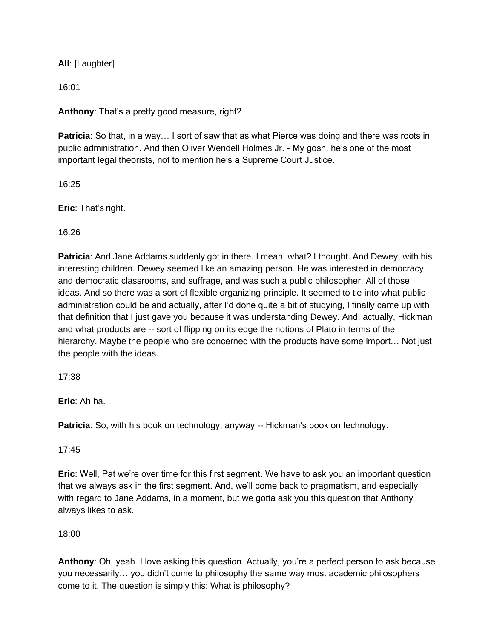**All**: [Laughter]

16:01

**Anthony**: That's a pretty good measure, right?

**Patricia**: So that, in a way... I sort of saw that as what Pierce was doing and there was roots in public administration. And then Oliver Wendell Holmes Jr. - My gosh, he's one of the most important legal theorists, not to mention he's a Supreme Court Justice.

16:25

**Eric**: That's right.

16:26

**Patricia**: And Jane Addams suddenly got in there. I mean, what? I thought. And Dewey, with his interesting children. Dewey seemed like an amazing person. He was interested in democracy and democratic classrooms, and suffrage, and was such a public philosopher. All of those ideas. And so there was a sort of flexible organizing principle. It seemed to tie into what public administration could be and actually, after I'd done quite a bit of studying, I finally came up with that definition that I just gave you because it was understanding Dewey. And, actually, Hickman and what products are -- sort of flipping on its edge the notions of Plato in terms of the hierarchy. Maybe the people who are concerned with the products have some import… Not just the people with the ideas.

17:38

**Eric**: Ah ha.

**Patricia**: So, with his book on technology, anyway -- Hickman's book on technology.

17:45

**Eric**: Well, Pat we're over time for this first segment. We have to ask you an important question that we always ask in the first segment. And, we'll come back to pragmatism, and especially with regard to Jane Addams, in a moment, but we gotta ask you this question that Anthony always likes to ask.

# 18:00

**Anthony**: Oh, yeah. I love asking this question. Actually, you're a perfect person to ask because you necessarily… you didn't come to philosophy the same way most academic philosophers come to it. The question is simply this: What is philosophy?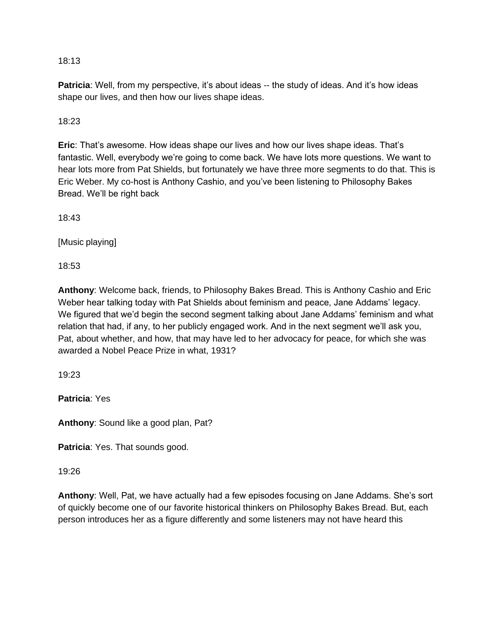**Patricia**: Well, from my perspective, it's about ideas -- the study of ideas. And it's how ideas shape our lives, and then how our lives shape ideas.

# 18:23

**Eric**: That's awesome. How ideas shape our lives and how our lives shape ideas. That's fantastic. Well, everybody we're going to come back. We have lots more questions. We want to hear lots more from Pat Shields, but fortunately we have three more segments to do that. This is Eric Weber. My co-host is Anthony Cashio, and you've been listening to Philosophy Bakes Bread. We'll be right back

18:43

[Music playing]

18:53

**Anthony**: Welcome back, friends, to Philosophy Bakes Bread. This is Anthony Cashio and Eric Weber hear talking today with Pat Shields about feminism and peace, Jane Addams' legacy. We figured that we'd begin the second segment talking about Jane Addams' feminism and what relation that had, if any, to her publicly engaged work. And in the next segment we'll ask you, Pat, about whether, and how, that may have led to her advocacy for peace, for which she was awarded a Nobel Peace Prize in what, 1931?

19:23

**Patricia**: Yes

**Anthony**: Sound like a good plan, Pat?

**Patricia**: Yes. That sounds good.

### 19:26

**Anthony**: Well, Pat, we have actually had a few episodes focusing on Jane Addams. She's sort of quickly become one of our favorite historical thinkers on Philosophy Bakes Bread. But, each person introduces her as a figure differently and some listeners may not have heard this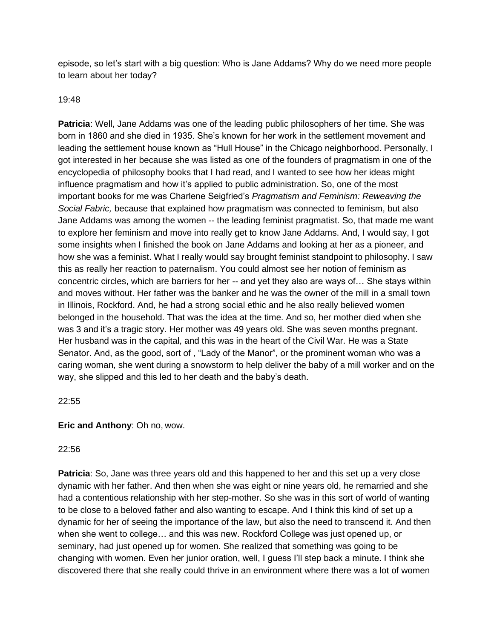episode, so let's start with a big question: Who is Jane Addams? Why do we need more people to learn about her today?

## 19:48

**Patricia**: Well, Jane Addams was one of the leading public philosophers of her time. She was born in 1860 and she died in 1935. She's known for her work in the settlement movement and leading the settlement house known as "Hull House" in the Chicago neighborhood. Personally, I got interested in her because she was listed as one of the founders of pragmatism in one of the encyclopedia of philosophy books that I had read, and I wanted to see how her ideas might influence pragmatism and how it's applied to public administration. So, one of the most important books for me was Charlene Seigfried's *Pragmatism and Feminism: Reweaving the Social Fabric,* because that explained how pragmatism was connected to feminism, but also Jane Addams was among the women -- the leading feminist pragmatist. So, that made me want to explore her feminism and move into really get to know Jane Addams. And, I would say, I got some insights when I finished the book on Jane Addams and looking at her as a pioneer, and how she was a feminist. What I really would say brought feminist standpoint to philosophy. I saw this as really her reaction to paternalism. You could almost see her notion of feminism as concentric circles, which are barriers for her -- and yet they also are ways of… She stays within and moves without. Her father was the banker and he was the owner of the mill in a small town in Illinois, Rockford. And, he had a strong social ethic and he also really believed women belonged in the household. That was the idea at the time. And so, her mother died when she was 3 and it's a tragic story. Her mother was 49 years old. She was seven months pregnant. Her husband was in the capital, and this was in the heart of the Civil War. He was a State Senator. And, as the good, sort of , "Lady of the Manor", or the prominent woman who was a caring woman, she went during a snowstorm to help deliver the baby of a mill worker and on the way, she slipped and this led to her death and the baby's death.

# 22:55

# **Eric and Anthony**: Oh no, wow.

# 22:56

**Patricia**: So, Jane was three years old and this happened to her and this set up a very close dynamic with her father. And then when she was eight or nine years old, he remarried and she had a contentious relationship with her step-mother. So she was in this sort of world of wanting to be close to a beloved father and also wanting to escape. And I think this kind of set up a dynamic for her of seeing the importance of the law, but also the need to transcend it. And then when she went to college… and this was new. Rockford College was just opened up, or seminary, had just opened up for women. She realized that something was going to be changing with women. Even her junior oration, well, I guess I'll step back a minute. I think she discovered there that she really could thrive in an environment where there was a lot of women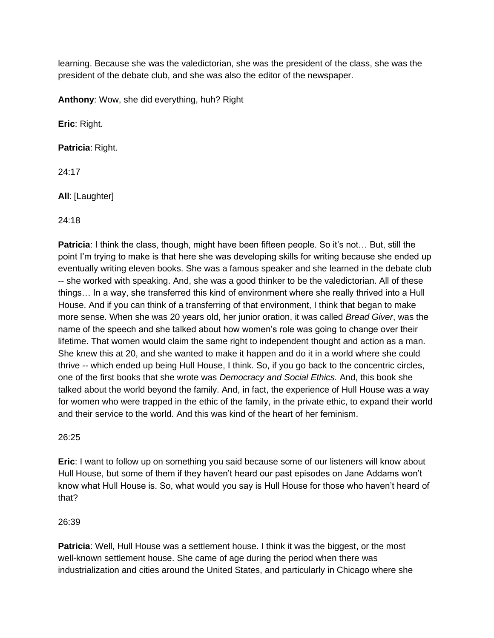learning. Because she was the valedictorian, she was the president of the class, she was the president of the debate club, and she was also the editor of the newspaper.

**Anthony**: Wow, she did everything, huh? Right

**Eric**: Right.

**Patricia**: Right.

24:17

**All**: [Laughter]

24:18

**Patricia**: I think the class, though, might have been fifteen people. So it's not… But, still the point I'm trying to make is that here she was developing skills for writing because she ended up eventually writing eleven books. She was a famous speaker and she learned in the debate club -- she worked with speaking. And, she was a good thinker to be the valedictorian. All of these things… In a way, she transferred this kind of environment where she really thrived into a Hull House. And if you can think of a transferring of that environment, I think that began to make more sense. When she was 20 years old, her junior oration, it was called *Bread Giver*, was the name of the speech and she talked about how women's role was going to change over their lifetime. That women would claim the same right to independent thought and action as a man. She knew this at 20, and she wanted to make it happen and do it in a world where she could thrive -- which ended up being Hull House, I think. So, if you go back to the concentric circles, one of the first books that she wrote was *Democracy and Social Ethics.* And, this book she talked about the world beyond the family. And, in fact, the experience of Hull House was a way for women who were trapped in the ethic of the family, in the private ethic, to expand their world and their service to the world. And this was kind of the heart of her feminism.

26:25

**Eric**: I want to follow up on something you said because some of our listeners will know about Hull House, but some of them if they haven't heard our past episodes on Jane Addams won't know what Hull House is. So, what would you say is Hull House for those who haven't heard of that?

### 26:39

**Patricia**: Well, Hull House was a settlement house. I think it was the biggest, or the most well-known settlement house. She came of age during the period when there was industrialization and cities around the United States, and particularly in Chicago where she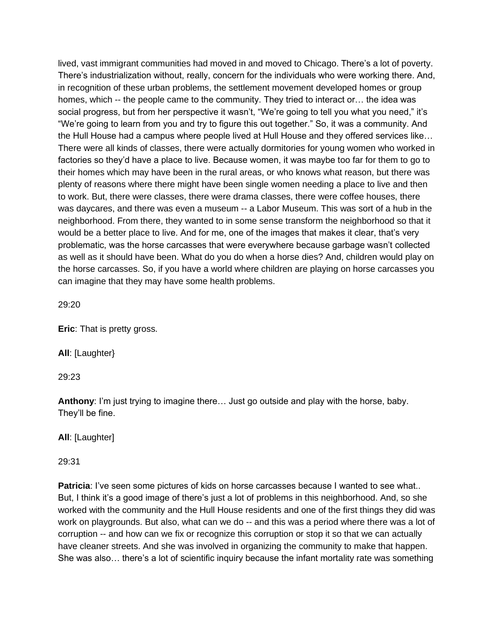lived, vast immigrant communities had moved in and moved to Chicago. There's a lot of poverty. There's industrialization without, really, concern for the individuals who were working there. And, in recognition of these urban problems, the settlement movement developed homes or group homes, which -- the people came to the community. They tried to interact or… the idea was social progress, but from her perspective it wasn't, "We're going to tell you what you need," it's "We're going to learn from you and try to figure this out together." So, it was a community. And the Hull House had a campus where people lived at Hull House and they offered services like… There were all kinds of classes, there were actually dormitories for young women who worked in factories so they'd have a place to live. Because women, it was maybe too far for them to go to their homes which may have been in the rural areas, or who knows what reason, but there was plenty of reasons where there might have been single women needing a place to live and then to work. But, there were classes, there were drama classes, there were coffee houses, there was daycares, and there was even a museum -- a Labor Museum. This was sort of a hub in the neighborhood. From there, they wanted to in some sense transform the neighborhood so that it would be a better place to live. And for me, one of the images that makes it clear, that's very problematic, was the horse carcasses that were everywhere because garbage wasn't collected as well as it should have been. What do you do when a horse dies? And, children would play on the horse carcasses. So, if you have a world where children are playing on horse carcasses you can imagine that they may have some health problems.

29:20

**Eric**: That is pretty gross.

**All**: [Laughter}

29:23

**Anthony**: I'm just trying to imagine there… Just go outside and play with the horse, baby. They'll be fine.

**All**: [Laughter]

29:31

**Patricia**: I've seen some pictures of kids on horse carcasses because I wanted to see what.. But, I think it's a good image of there's just a lot of problems in this neighborhood. And, so she worked with the community and the Hull House residents and one of the first things they did was work on playgrounds. But also, what can we do -- and this was a period where there was a lot of corruption -- and how can we fix or recognize this corruption or stop it so that we can actually have cleaner streets. And she was involved in organizing the community to make that happen. She was also… there's a lot of scientific inquiry because the infant mortality rate was something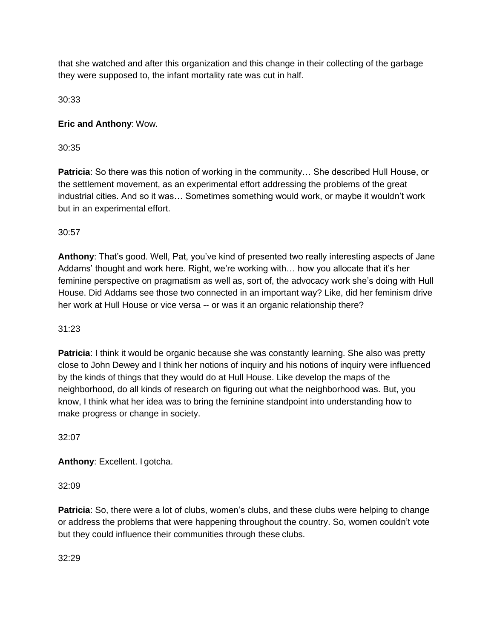that she watched and after this organization and this change in their collecting of the garbage they were supposed to, the infant mortality rate was cut in half.

30:33

# **Eric and Anthony**: Wow.

30:35

**Patricia**: So there was this notion of working in the community… She described Hull House, or the settlement movement, as an experimental effort addressing the problems of the great industrial cities. And so it was… Sometimes something would work, or maybe it wouldn't work but in an experimental effort.

30:57

**Anthony**: That's good. Well, Pat, you've kind of presented two really interesting aspects of Jane Addams' thought and work here. Right, we're working with… how you allocate that it's her feminine perspective on pragmatism as well as, sort of, the advocacy work she's doing with Hull House. Did Addams see those two connected in an important way? Like, did her feminism drive her work at Hull House or vice versa -- or was it an organic relationship there?

# 31:23

**Patricia**: I think it would be organic because she was constantly learning. She also was pretty close to John Dewey and I think her notions of inquiry and his notions of inquiry were influenced by the kinds of things that they would do at Hull House. Like develop the maps of the neighborhood, do all kinds of research on figuring out what the neighborhood was. But, you know, I think what her idea was to bring the feminine standpoint into understanding how to make progress or change in society.

32:07

**Anthony**: Excellent. I gotcha.

32:09

**Patricia**: So, there were a lot of clubs, women's clubs, and these clubs were helping to change or address the problems that were happening throughout the country. So, women couldn't vote but they could influence their communities through these clubs.

32:29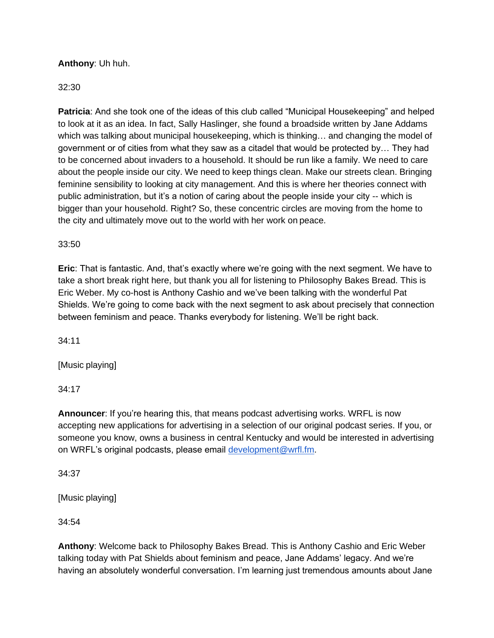# **Anthony**: Uh huh.

### 32:30

**Patricia**: And she took one of the ideas of this club called "Municipal Housekeeping" and helped to look at it as an idea. In fact, Sally Haslinger, she found a broadside written by Jane Addams which was talking about municipal housekeeping, which is thinking… and changing the model of government or of cities from what they saw as a citadel that would be protected by… They had to be concerned about invaders to a household. It should be run like a family. We need to care about the people inside our city. We need to keep things clean. Make our streets clean. Bringing feminine sensibility to looking at city management. And this is where her theories connect with public administration, but it's a notion of caring about the people inside your city -- which is bigger than your household. Right? So, these concentric circles are moving from the home to the city and ultimately move out to the world with her work on peace.

### 33:50

**Eric**: That is fantastic. And, that's exactly where we're going with the next segment. We have to take a short break right here, but thank you all for listening to Philosophy Bakes Bread. This is Eric Weber. My co-host is Anthony Cashio and we've been talking with the wonderful Pat Shields. We're going to come back with the next segment to ask about precisely that connection between feminism and peace. Thanks everybody for listening. We'll be right back.

34:11

[Music playing]

34:17

**Announcer**: If you're hearing this, that means podcast advertising works. WRFL is now accepting new applications for advertising in a selection of our original podcast series. If you, or someone you know, owns a business in central Kentucky and would be interested in advertising on WRFL's original podcasts, please email [development@wrfl.fm.](mailto:development@wrfl.fm)

34:37

[Music playing]

34:54

**Anthony**: Welcome back to Philosophy Bakes Bread. This is Anthony Cashio and Eric Weber talking today with Pat Shields about feminism and peace, Jane Addams' legacy. And we're having an absolutely wonderful conversation. I'm learning just tremendous amounts about Jane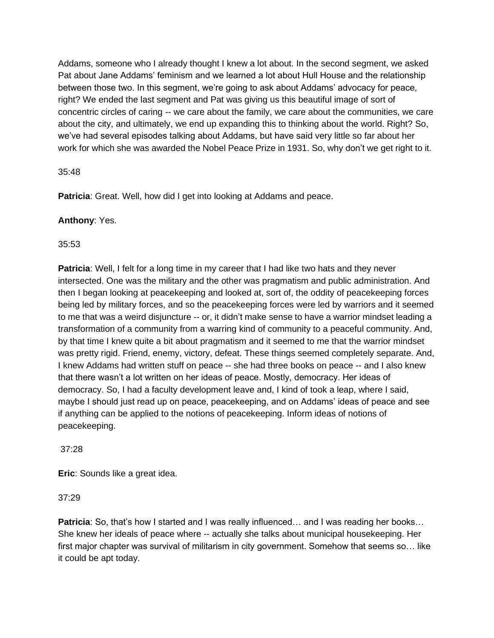Addams, someone who I already thought I knew a lot about. In the second segment, we asked Pat about Jane Addams' feminism and we learned a lot about Hull House and the relationship between those two. In this segment, we're going to ask about Addams' advocacy for peace, right? We ended the last segment and Pat was giving us this beautiful image of sort of concentric circles of caring -- we care about the family, we care about the communities, we care about the city, and ultimately, we end up expanding this to thinking about the world. Right? So, we've had several episodes talking about Addams, but have said very little so far about her work for which she was awarded the Nobel Peace Prize in 1931. So, why don't we get right to it.

## 35:48

**Patricia:** Great. Well, how did I get into looking at Addams and peace.

# **Anthony**: Yes.

# 35:53

**Patricia**: Well, I felt for a long time in my career that I had like two hats and they never intersected. One was the military and the other was pragmatism and public administration. And then I began looking at peacekeeping and looked at, sort of, the oddity of peacekeeping forces being led by military forces, and so the peacekeeping forces were led by warriors and it seemed to me that was a weird disjuncture -- or, it didn't make sense to have a warrior mindset leading a transformation of a community from a warring kind of community to a peaceful community. And, by that time I knew quite a bit about pragmatism and it seemed to me that the warrior mindset was pretty rigid. Friend, enemy, victory, defeat. These things seemed completely separate. And, I knew Addams had written stuff on peace -- she had three books on peace -- and I also knew that there wasn't a lot written on her ideas of peace. Mostly, democracy. Her ideas of democracy. So, I had a faculty development leave and, I kind of took a leap, where I said, maybe I should just read up on peace, peacekeeping, and on Addams' ideas of peace and see if anything can be applied to the notions of peacekeeping. Inform ideas of notions of peacekeeping.

# 37:28

**Eric**: Sounds like a great idea.

# 37:29

**Patricia**: So, that's how I started and I was really influenced... and I was reading her books... She knew her ideals of peace where -- actually she talks about municipal housekeeping. Her first major chapter was survival of militarism in city government. Somehow that seems so… like it could be apt today.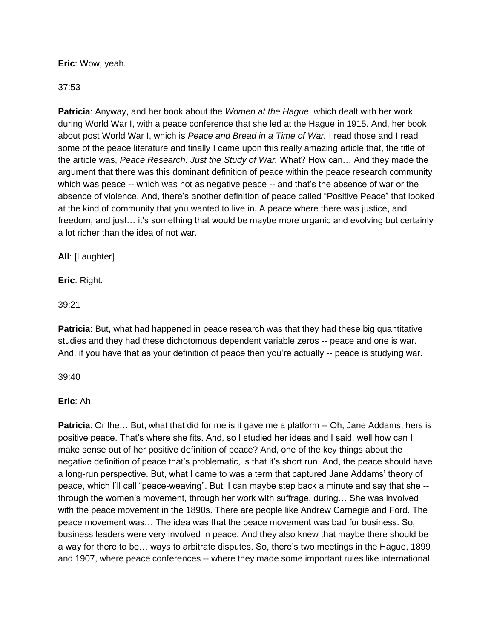## **Eric**: Wow, yeah.

## 37:53

**Patricia**: Anyway, and her book about the *Women at the Hague*, which dealt with her work during World War I, with a peace conference that she led at the Hague in 1915. And, her book about post World War I, which is *Peace and Bread in a Time of War.* I read those and I read some of the peace literature and finally I came upon this really amazing article that, the title of the article was, *Peace Research: Just the Study of War.* What? How can… And they made the argument that there was this dominant definition of peace within the peace research community which was peace -- which was not as negative peace -- and that's the absence of war or the absence of violence. And, there's another definition of peace called "Positive Peace" that looked at the kind of community that you wanted to live in. A peace where there was justice, and freedom, and just… it's something that would be maybe more organic and evolving but certainly a lot richer than the idea of not war.

**All**: [Laughter]

**Eric**: Right.

39:21

**Patricia**: But, what had happened in peace research was that they had these big quantitative studies and they had these dichotomous dependent variable zeros -- peace and one is war. And, if you have that as your definition of peace then you're actually -- peace is studying war.

39:40

**Eric**: Ah.

**Patricia**: Or the... But, what that did for me is it gave me a platform -- Oh, Jane Addams, hers is positive peace. That's where she fits. And, so I studied her ideas and I said, well how can I make sense out of her positive definition of peace? And, one of the key things about the negative definition of peace that's problematic, is that it's short run. And, the peace should have a long-run perspective. But, what I came to was a term that captured Jane Addams' theory of peace, which I'll call "peace-weaving". But, I can maybe step back a minute and say that she - through the women's movement, through her work with suffrage, during… She was involved with the peace movement in the 1890s. There are people like Andrew Carnegie and Ford. The peace movement was… The idea was that the peace movement was bad for business. So, business leaders were very involved in peace. And they also knew that maybe there should be a way for there to be… ways to arbitrate disputes. So, there's two meetings in the Hague, 1899 and 1907, where peace conferences -- where they made some important rules like international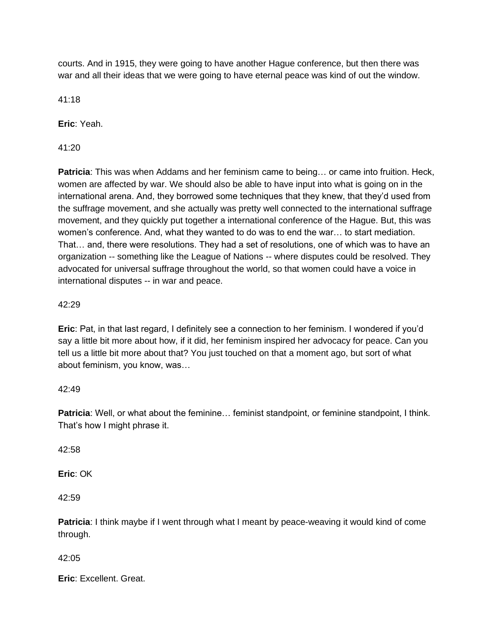courts. And in 1915, they were going to have another Hague conference, but then there was war and all their ideas that we were going to have eternal peace was kind of out the window.

41:18

**Eric**: Yeah.

41:20

**Patricia**: This was when Addams and her feminism came to being… or came into fruition. Heck, women are affected by war. We should also be able to have input into what is going on in the international arena. And, they borrowed some techniques that they knew, that they'd used from the suffrage movement, and she actually was pretty well connected to the international suffrage movement, and they quickly put together a international conference of the Hague. But, this was women's conference. And, what they wanted to do was to end the war… to start mediation. That… and, there were resolutions. They had a set of resolutions, one of which was to have an organization -- something like the League of Nations -- where disputes could be resolved. They advocated for universal suffrage throughout the world, so that women could have a voice in international disputes -- in war and peace.

# 42:29

**Eric**: Pat, in that last regard, I definitely see a connection to her feminism. I wondered if you'd say a little bit more about how, if it did, her feminism inspired her advocacy for peace. Can you tell us a little bit more about that? You just touched on that a moment ago, but sort of what about feminism, you know, was…

# 42:49

**Patricia**: Well, or what about the feminine... feminist standpoint, or feminine standpoint, I think. That's how I might phrase it.

42:58

**Eric**: OK

 $42.59$ 

**Patricia**: I think maybe if I went through what I meant by peace-weaving it would kind of come through.

42:05

**Eric**: Excellent. Great.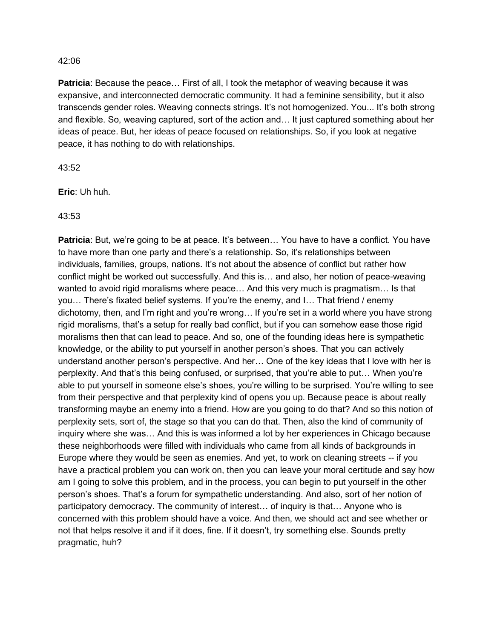**Patricia**: Because the peace… First of all, I took the metaphor of weaving because it was expansive, and interconnected democratic community. It had a feminine sensibility, but it also transcends gender roles. Weaving connects strings. It's not homogenized. You... It's both strong and flexible. So, weaving captured, sort of the action and… It just captured something about her ideas of peace. But, her ideas of peace focused on relationships. So, if you look at negative peace, it has nothing to do with relationships.

43:52

**Eric**: Uh huh.

43:53

**Patricia**: But, we're going to be at peace. It's between... You have to have a conflict. You have to have more than one party and there's a relationship. So, it's relationships between individuals, families, groups, nations. It's not about the absence of conflict but rather how conflict might be worked out successfully. And this is… and also, her notion of peace-weaving wanted to avoid rigid moralisms where peace… And this very much is pragmatism… Is that you… There's fixated belief systems. If you're the enemy, and I… That friend / enemy dichotomy, then, and I'm right and you're wrong… If you're set in a world where you have strong rigid moralisms, that's a setup for really bad conflict, but if you can somehow ease those rigid moralisms then that can lead to peace. And so, one of the founding ideas here is sympathetic knowledge, or the ability to put yourself in another person's shoes. That you can actively understand another person's perspective. And her… One of the key ideas that I love with her is perplexity. And that's this being confused, or surprised, that you're able to put… When you're able to put yourself in someone else's shoes, you're willing to be surprised. You're willing to see from their perspective and that perplexity kind of opens you up. Because peace is about really transforming maybe an enemy into a friend. How are you going to do that? And so this notion of perplexity sets, sort of, the stage so that you can do that. Then, also the kind of community of inquiry where she was… And this is was informed a lot by her experiences in Chicago because these neighborhoods were filled with individuals who came from all kinds of backgrounds in Europe where they would be seen as enemies. And yet, to work on cleaning streets -- if you have a practical problem you can work on, then you can leave your moral certitude and say how am I going to solve this problem, and in the process, you can begin to put yourself in the other person's shoes. That's a forum for sympathetic understanding. And also, sort of her notion of participatory democracy. The community of interest… of inquiry is that… Anyone who is concerned with this problem should have a voice. And then, we should act and see whether or not that helps resolve it and if it does, fine. If it doesn't, try something else. Sounds pretty pragmatic, huh?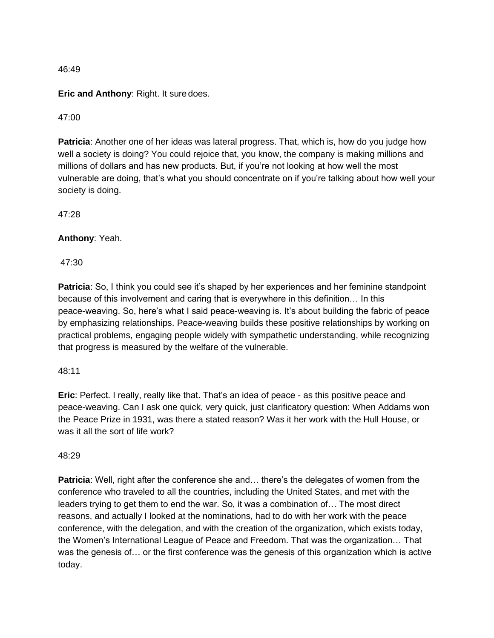**Eric and Anthony**: Right. It sure does.

47:00

**Patricia**: Another one of her ideas was lateral progress. That, which is, how do you judge how well a society is doing? You could rejoice that, you know, the company is making millions and millions of dollars and has new products. But, if you're not looking at how well the most vulnerable are doing, that's what you should concentrate on if you're talking about how well your society is doing.

47:28

### **Anthony**: Yeah.

47:30

**Patricia**: So, I think you could see it's shaped by her experiences and her feminine standpoint because of this involvement and caring that is everywhere in this definition… In this peace-weaving. So, here's what I said peace-weaving is. It's about building the fabric of peace by emphasizing relationships. Peace-weaving builds these positive relationships by working on practical problems, engaging people widely with sympathetic understanding, while recognizing that progress is measured by the welfare of the vulnerable.

### 48:11

**Eric**: Perfect. I really, really like that. That's an idea of peace - as this positive peace and peace-weaving. Can I ask one quick, very quick, just clarificatory question: When Addams won the Peace Prize in 1931, was there a stated reason? Was it her work with the Hull House, or was it all the sort of life work?

### 48:29

**Patricia**: Well, right after the conference she and... there's the delegates of women from the conference who traveled to all the countries, including the United States, and met with the leaders trying to get them to end the war. So, it was a combination of… The most direct reasons, and actually I looked at the nominations, had to do with her work with the peace conference, with the delegation, and with the creation of the organization, which exists today, the Women's International League of Peace and Freedom. That was the organization… That was the genesis of… or the first conference was the genesis of this organization which is active today.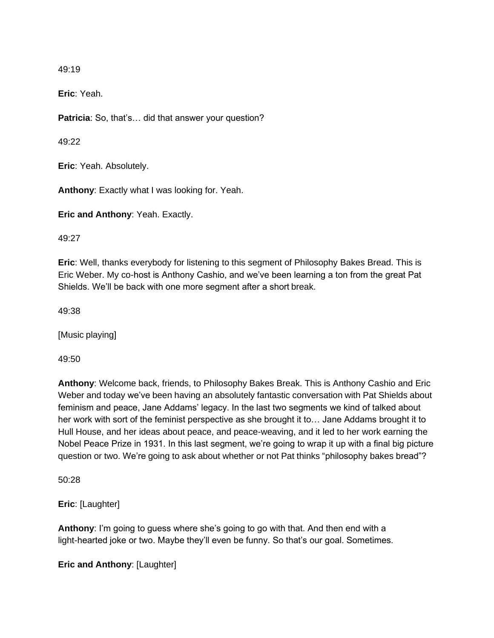**Eric**: Yeah.

**Patricia**: So, that's… did that answer your question?

49:22

**Eric**: Yeah. Absolutely.

**Anthony**: Exactly what I was looking for. Yeah.

**Eric and Anthony**: Yeah. Exactly.

49:27

**Eric**: Well, thanks everybody for listening to this segment of Philosophy Bakes Bread. This is Eric Weber. My co-host is Anthony Cashio, and we've been learning a ton from the great Pat Shields. We'll be back with one more segment after a short break.

49:38

[Music playing]

49:50

**Anthony**: Welcome back, friends, to Philosophy Bakes Break. This is Anthony Cashio and Eric Weber and today we've been having an absolutely fantastic conversation with Pat Shields about feminism and peace, Jane Addams' legacy. In the last two segments we kind of talked about her work with sort of the feminist perspective as she brought it to… Jane Addams brought it to Hull House, and her ideas about peace, and peace-weaving, and it led to her work earning the Nobel Peace Prize in 1931. In this last segment, we're going to wrap it up with a final big picture question or two. We're going to ask about whether or not Pat thinks "philosophy bakes bread"?

50:28

**Eric**: [Laughter]

**Anthony**: I'm going to guess where she's going to go with that. And then end with a light-hearted joke or two. Maybe they'll even be funny. So that's our goal. Sometimes.

**Eric and Anthony**: [Laughter]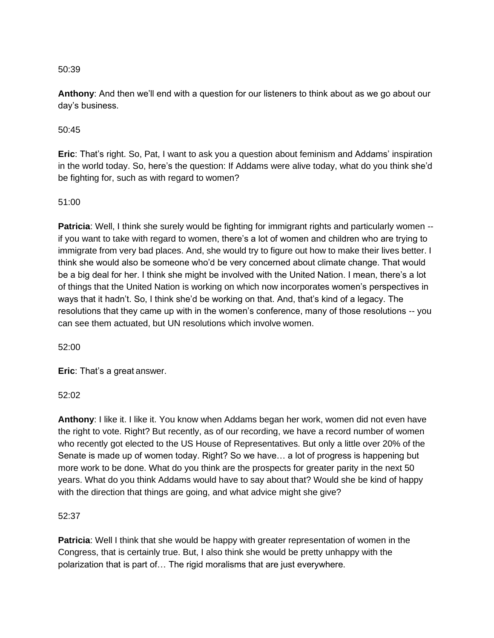**Anthony**: And then we'll end with a question for our listeners to think about as we go about our day's business.

## 50:45

**Eric**: That's right. So, Pat, I want to ask you a question about feminism and Addams' inspiration in the world today. So, here's the question: If Addams were alive today, what do you think she'd be fighting for, such as with regard to women?

## 51:00

**Patricia**: Well, I think she surely would be fighting for immigrant rights and particularly women -if you want to take with regard to women, there's a lot of women and children who are trying to immigrate from very bad places. And, she would try to figure out how to make their lives better. I think she would also be someone who'd be very concerned about climate change. That would be a big deal for her. I think she might be involved with the United Nation. I mean, there's a lot of things that the United Nation is working on which now incorporates women's perspectives in ways that it hadn't. So, I think she'd be working on that. And, that's kind of a legacy. The resolutions that they came up with in the women's conference, many of those resolutions -- you can see them actuated, but UN resolutions which involve women.

52:00

**Eric**: That's a great answer.

52:02

**Anthony**: I like it. I like it. You know when Addams began her work, women did not even have the right to vote. Right? But recently, as of our recording, we have a record number of women who recently got elected to the US House of Representatives. But only a little over 20% of the Senate is made up of women today. Right? So we have… a lot of progress is happening but more work to be done. What do you think are the prospects for greater parity in the next 50 years. What do you think Addams would have to say about that? Would she be kind of happy with the direction that things are going, and what advice might she give?

# 52:37

**Patricia**: Well I think that she would be happy with greater representation of women in the Congress, that is certainly true. But, I also think she would be pretty unhappy with the polarization that is part of… The rigid moralisms that are just everywhere.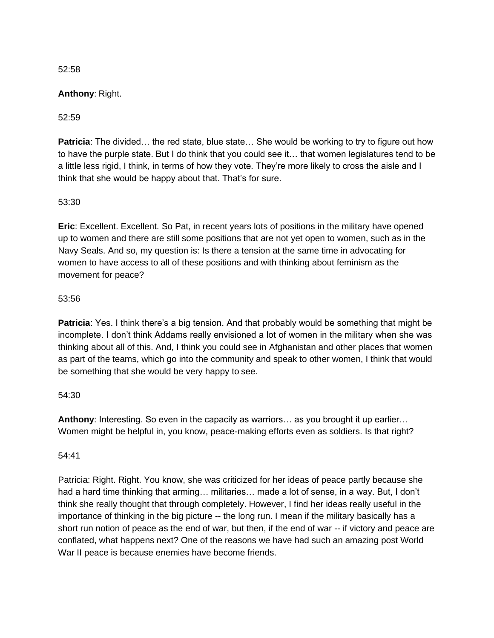## **Anthony**: Right.

## 52:59

**Patricia**: The divided... the red state, blue state... She would be working to try to figure out how to have the purple state. But I do think that you could see it… that women legislatures tend to be a little less rigid, I think, in terms of how they vote. They're more likely to cross the aisle and I think that she would be happy about that. That's for sure.

### 53:30

**Eric**: Excellent. Excellent. So Pat, in recent years lots of positions in the military have opened up to women and there are still some positions that are not yet open to women, such as in the Navy Seals. And so, my question is: Is there a tension at the same time in advocating for women to have access to all of these positions and with thinking about feminism as the movement for peace?

### 53:56

**Patricia**: Yes. I think there's a big tension. And that probably would be something that might be incomplete. I don't think Addams really envisioned a lot of women in the military when she was thinking about all of this. And, I think you could see in Afghanistan and other places that women as part of the teams, which go into the community and speak to other women, I think that would be something that she would be very happy to see.

### 54:30

**Anthony**: Interesting. So even in the capacity as warriors… as you brought it up earlier… Women might be helpful in, you know, peace-making efforts even as soldiers. Is that right?

### 54:41

Patricia: Right. Right. You know, she was criticized for her ideas of peace partly because she had a hard time thinking that arming... militaries... made a lot of sense, in a way. But, I don't think she really thought that through completely. However, I find her ideas really useful in the importance of thinking in the big picture -- the long run. I mean if the military basically has a short run notion of peace as the end of war, but then, if the end of war -- if victory and peace are conflated, what happens next? One of the reasons we have had such an amazing post World War II peace is because enemies have become friends.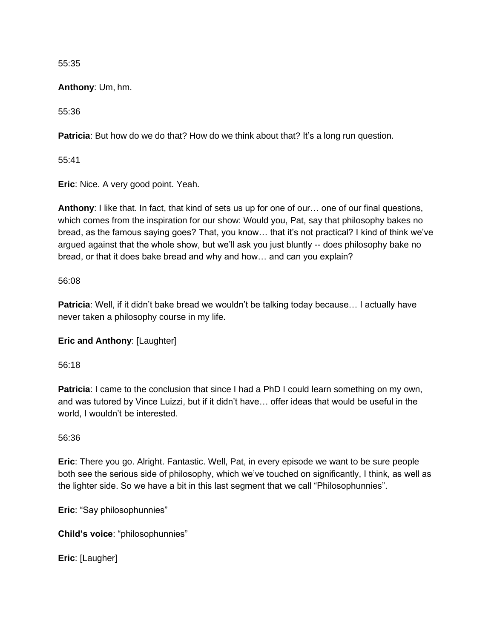**Anthony**: Um, hm.

55:36

**Patricia**: But how do we do that? How do we think about that? It's a long run question.

55:41

**Eric**: Nice. A very good point. Yeah.

**Anthony**: I like that. In fact, that kind of sets us up for one of our… one of our final questions, which comes from the inspiration for our show: Would you, Pat, say that philosophy bakes no bread, as the famous saying goes? That, you know… that it's not practical? I kind of think we've argued against that the whole show, but we'll ask you just bluntly -- does philosophy bake no bread, or that it does bake bread and why and how… and can you explain?

# 56:08

**Patricia**: Well, if it didn't bake bread we wouldn't be talking today because… I actually have never taken a philosophy course in my life.

**Eric and Anthony**: [Laughter]

56:18

**Patricia**: I came to the conclusion that since I had a PhD I could learn something on my own, and was tutored by Vince Luizzi, but if it didn't have… offer ideas that would be useful in the world, I wouldn't be interested.

# 56:36

**Eric**: There you go. Alright. Fantastic. Well, Pat, in every episode we want to be sure people both see the serious side of philosophy, which we've touched on significantly, I think, as well as the lighter side. So we have a bit in this last segment that we call "Philosophunnies".

**Eric**: "Say philosophunnies"

**Child's voice**: "philosophunnies"

**Eric**: [Laugher]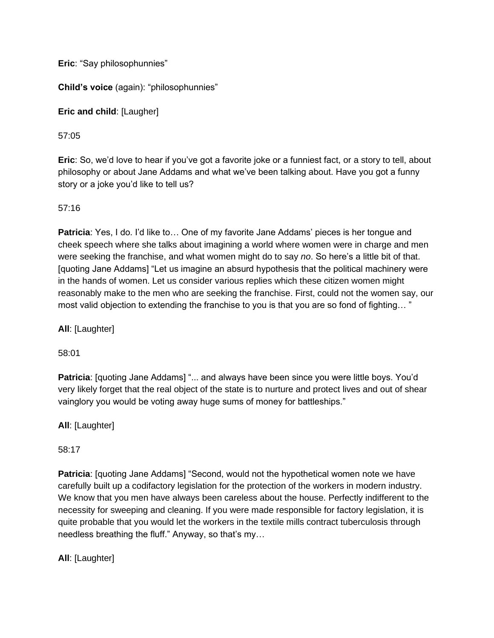**Eric**: "Say philosophunnies"

**Child's voice** (again): "philosophunnies"

**Eric and child**: [Laugher]

# 57:05

**Eric**: So, we'd love to hear if you've got a favorite joke or a funniest fact, or a story to tell, about philosophy or about Jane Addams and what we've been talking about. Have you got a funny story or a joke you'd like to tell us?

# 57:16

**Patricia**: Yes, I do. I'd like to… One of my favorite Jane Addams' pieces is her tongue and cheek speech where she talks about imagining a world where women were in charge and men were seeking the franchise, and what women might do to say *no*. So here's a little bit of that. [quoting Jane Addams] "Let us imagine an absurd hypothesis that the political machinery were in the hands of women. Let us consider various replies which these citizen women might reasonably make to the men who are seeking the franchise. First, could not the women say, our most valid objection to extending the franchise to you is that you are so fond of fighting… "

**All**: [Laughter]

58:01

Patricia: [quoting Jane Addams] "... and always have been since you were little boys. You'd very likely forget that the real object of the state is to nurture and protect lives and out of shear vainglory you would be voting away huge sums of money for battleships."

**All**: [Laughter]

58:17

**Patricia**: [quoting Jane Addams] "Second, would not the hypothetical women note we have carefully built up a codifactory legislation for the protection of the workers in modern industry. We know that you men have always been careless about the house. Perfectly indifferent to the necessity for sweeping and cleaning. If you were made responsible for factory legislation, it is quite probable that you would let the workers in the textile mills contract tuberculosis through needless breathing the fluff." Anyway, so that's my…

**All**: [Laughter]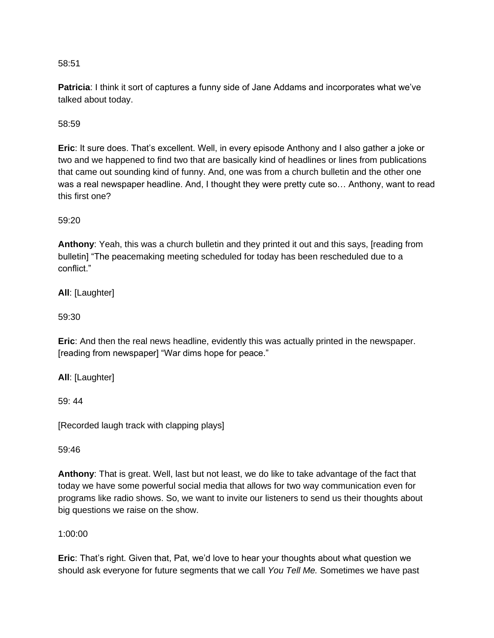**Patricia**: I think it sort of captures a funny side of Jane Addams and incorporates what we've talked about today.

58:59

**Eric**: It sure does. That's excellent. Well, in every episode Anthony and I also gather a joke or two and we happened to find two that are basically kind of headlines or lines from publications that came out sounding kind of funny. And, one was from a church bulletin and the other one was a real newspaper headline. And, I thought they were pretty cute so… Anthony, want to read this first one?

59:20

**Anthony**: Yeah, this was a church bulletin and they printed it out and this says, [reading from bulletin] "The peacemaking meeting scheduled for today has been rescheduled due to a conflict."

**All**: [Laughter]

59:30

**Eric**: And then the real news headline, evidently this was actually printed in the newspaper. [reading from newspaper] "War dims hope for peace."

**All**: [Laughter]

59: 44

[Recorded laugh track with clapping plays]

59:46

**Anthony**: That is great. Well, last but not least, we do like to take advantage of the fact that today we have some powerful social media that allows for two way communication even for programs like radio shows. So, we want to invite our listeners to send us their thoughts about big questions we raise on the show.

1:00:00

**Eric**: That's right. Given that, Pat, we'd love to hear your thoughts about what question we should ask everyone for future segments that we call *You Tell Me.* Sometimes we have past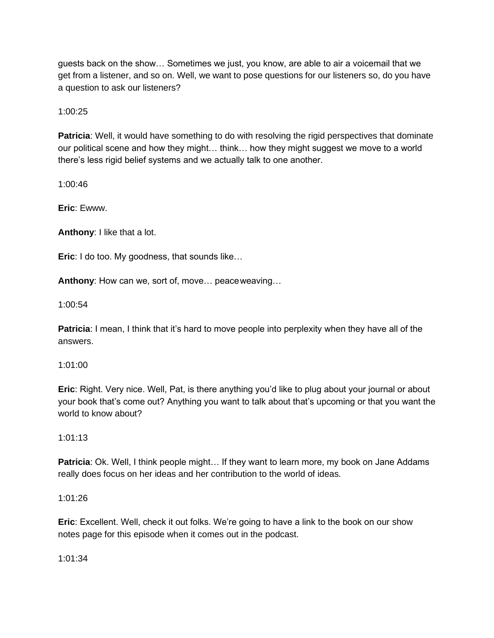guests back on the show… Sometimes we just, you know, are able to air a voicemail that we get from a listener, and so on. Well, we want to pose questions for our listeners so, do you have a question to ask our listeners?

1:00:25

**Patricia**: Well, it would have something to do with resolving the rigid perspectives that dominate our political scene and how they might… think… how they might suggest we move to a world there's less rigid belief systems and we actually talk to one another.

1:00:46

**Eric**: [Ewww.](http://www/)

**Anthony**: I like that a lot.

**Eric**: I do too. My goodness, that sounds like…

**Anthony**: How can we, sort of, move… peaceweaving…

1:00:54

**Patricia**: I mean, I think that it's hard to move people into perplexity when they have all of the answers.

### 1:01:00

**Eric**: Right. Very nice. Well, Pat, is there anything you'd like to plug about your journal or about your book that's come out? Anything you want to talk about that's upcoming or that you want the world to know about?

1:01:13

**Patricia**: Ok. Well, I think people might... If they want to learn more, my book on Jane Addams really does focus on her ideas and her contribution to the world of ideas.

# 1:01:26

**Eric**: Excellent. Well, check it out folks. We're going to have a link to the book on our show notes page for this episode when it comes out in the podcast.

1:01:34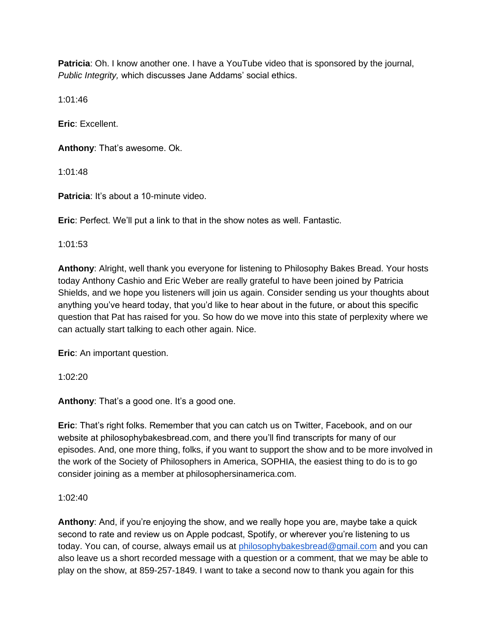**Patricia**: Oh. I know another one. I have a YouTube video that is sponsored by the journal, *Public Integrity,* which discusses Jane Addams' social ethics.

1:01:46

**Eric**: Excellent.

**Anthony**: That's awesome. Ok.

1:01:48

**Patricia:** It's about a 10-minute video.

**Eric**: Perfect. We'll put a link to that in the show notes as well. Fantastic.

1:01:53

**Anthony**: Alright, well thank you everyone for listening to Philosophy Bakes Bread. Your hosts today Anthony Cashio and Eric Weber are really grateful to have been joined by Patricia Shields, and we hope you listeners will join us again. Consider sending us your thoughts about anything you've heard today, that you'd like to hear about in the future, or about this specific question that Pat has raised for you. So how do we move into this state of perplexity where we can actually start talking to each other again. Nice.

**Eric**: An important question.

1:02:20

**Anthony**: That's a good one. It's a good one.

**Eric**: That's right folks. Remember that you can catch us on Twitter, Facebook, and on our website at philosophybakesbread.com, and there you'll find transcripts for many of our episodes. And, one more thing, folks, if you want to support the show and to be more involved in the work of the Society of Philosophers in America, SOPHIA, the easiest thing to do is to go consider joining as a member at philosophersinamerica.com.

 $1:02:40$ 

**Anthony**: And, if you're enjoying the show, and we really hope you are, maybe take a quick second to rate and review us on Apple podcast, Spotify, or wherever you're listening to us today. You can, of course, always email us at [philosophybakesbread@gmail.com](mailto:philosophybakesbread@gmail.com) and you can also leave us a short recorded message with a question or a comment, that we may be able to play on the show, at 859-257-1849. I want to take a second now to thank you again for this